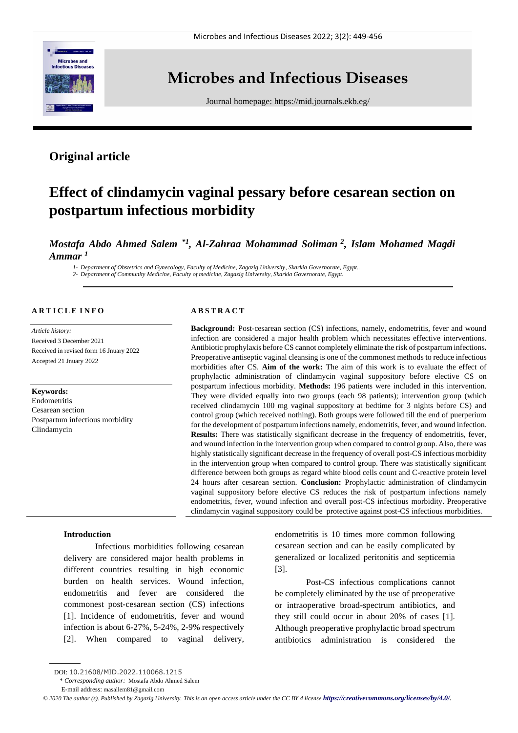

# **Microbes and Infectious Diseases**

Journal homepage:<https://mid.journals.ekb.eg/>

# **Original article**

# **Effect of clindamycin vaginal pessary before cesarean section on postpartum infectious morbidity**

*Mostafa Abdo Ahmed Salem \*1 , Al-Zahraa Mohammad Soliman <sup>2</sup> , Islam Mohamed Magdi Ammar <sup>1</sup>*

*1- Department of Obstetrics and Gynecology, Faculty of Medicine, Zagazig University, Skarkia Governorate, Egypt.. 2- Department of Community Medicine, Faculty of medicine, Zagazig University, Skarkia Governorate, Egypt.* 

# **A R T I C L E I N F O**

*Article history:*  Received 3 December 2021 Received in revised form 16 Jnuary 2022 Accepted 21 Jnuary 2022

#### **Keywords:**

Endometritis Cesarean section Postpartum infectious morbidity Clindamycin

# **A B S T R A C T**

**Background:** Post-cesarean section (CS) infections, namely, endometritis, fever and wound infection are considered a major health problem which necessitates effective interventions. Antibiotic prophylaxis before CS cannot completely eliminate the risk of postpartum infections**.** Preoperative antiseptic vaginal cleansing is one of the commonest methods to reduce infectious morbidities after CS. **Aim of the work:** The aim of this work is to evaluate the effect of prophylactic administration of clindamycin vaginal suppository before elective CS on postpartum infectious morbidity. **Methods:** 196 patients were included in this intervention. They were divided equally into two groups (each 98 patients); intervention group (which received clindamycin 100 mg vaginal suppository at bedtime for 3 nights before CS) and control group (which received nothing). Both groups were followed till the end of puerperium for the development of postpartum infections namely, endometritis, fever, and wound infection. **Results:** There was statistically significant decrease in the frequency of endometritis, fever, and wound infection in the intervention group when compared to control group. Also, there was highly statistically significant decrease in the frequency of overall post-CS infectious morbidity in the intervention group when compared to control group. There was statistically significant difference between both groups as regard white blood cells count and C-reactive protein level 24 hours after cesarean section. **Conclusion:** Prophylactic administration of clindamycin vaginal suppository before elective CS reduces the risk of postpartum infections namely endometritis, fever, wound infection and overall post-CS infectious morbidity. Preoperative clindamycin vaginal suppository could be protective against post-CS infectious morbidities.

### **Introduction**

Infectious morbidities following cesarean delivery are considered major health problems in different countries resulting in high economic burden on health services. Wound infection, endometritis and fever are considered the commonest post-cesarean section (CS) infections [1]. Incidence of endometritis, fever and wound infection is about 6-27%, 5-24%, 2-9% respectively [2]. When compared to vaginal delivery, endometritis is 10 times more common following cesarean section and can be easily complicated by generalized or localized peritonitis and septicemia [3].

Post-CS infectious complications cannot be completely eliminated by the use of preoperative or intraoperative broad-spectrum antibiotics, and they still could occur in about 20% of cases [1]. Although preoperative prophylactic broad spectrum antibiotics administration is considered the

DOI: 10.21608/MID.2022.110068.1215

<sup>\*</sup> *Corresponding author:* Mostafa Abdo Ahmed Salem

E-mail address: masallem81@gmail.com

*<sup>©</sup> 2020 The author (s). Published by Zagazig University. This is an open access article under the CC BY 4 license <https://creativecommons.org/licenses/by/4.0/>.*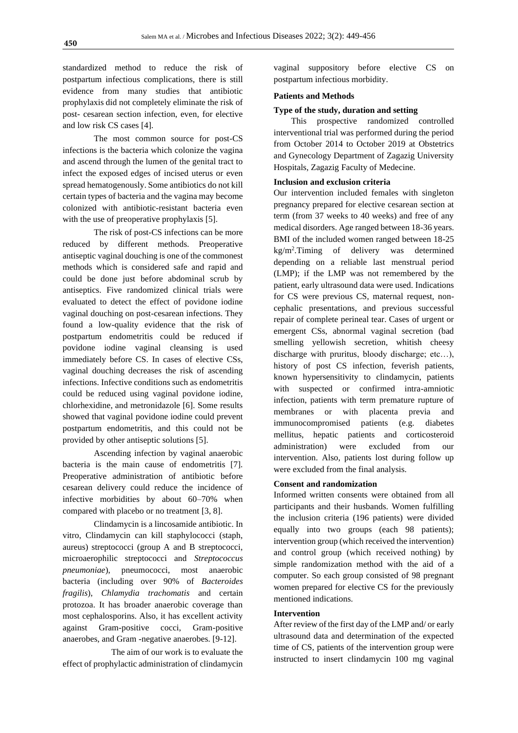standardized method to reduce the risk of postpartum infectious complications, there is still evidence from many studies that antibiotic prophylaxis did not completely eliminate the risk of post- cesarean section infection, even, for elective and low risk CS cases [4].

The most common source for post-CS infections is the bacteria which colonize the vagina and ascend through the lumen of the genital tract to infect the exposed edges of incised uterus or even spread hematogenously. Some antibiotics do not kill certain types of bacteria and the vagina may become colonized with antibiotic-resistant bacteria even with the use of preoperative prophylaxis [5].

The risk of post-CS infections can be more reduced by different methods. Preoperative antiseptic vaginal douching is one of the commonest methods which is considered safe and rapid and could be done just before abdominal scrub by antiseptics. Five randomized clinical trials were evaluated to detect the effect of povidone iodine vaginal douching on post-cesarean infections. They found a low-quality evidence that the risk of postpartum endometritis could be reduced if povidone iodine vaginal cleansing is used immediately before CS. In cases of elective CSs, vaginal douching decreases the risk of ascending infections. Infective conditions such as endometritis could be reduced using vaginal povidone iodine, chlorhexidine, and metronidazole [6]. Some results showed that vaginal povidone iodine could prevent postpartum endometritis, and this could not be provided by other antiseptic solutions [5].

Ascending infection by vaginal anaerobic bacteria is the main cause of endometritis [7]. Preoperative administration of antibiotic before cesarean delivery could reduce the incidence of infective morbidities by about 60–70% when compared with placebo or no treatment [3, 8].

Clindamycin is a lincosamide antibiotic. In vitro, Clindamycin can kill staphylococci (staph, aureus) streptococci (group A and B streptococci, microaerophilic streptococci and *Streptococcus pneumoniae*), pneumococci, most anaerobic bacteria (including over 90% of *Bacteroides fragilis*), *Chlamydia trachomatis* and certain protozoa. It has broader anaerobic coverage than most cephalosporins. Also, it has excellent activity against Gram-positive cocci, Gram-positive anaerobes, and Gram -negative anaerobes. [9-12].

 The aim of our work is to evaluate the effect of prophylactic administration of clindamycin

vaginal suppository before elective CS on postpartum infectious morbidity.

# **Patients and Methods**

# **Type of the study, duration and setting**

 This prospective randomized controlled interventional trial was performed during the period from October 2014 to October 2019 at Obstetrics and Gynecology Department of Zagazig University Hospitals, Zagazig Faculty of Medecine.

# **Inclusion and exclusion criteria**

Our intervention included females with singleton pregnancy prepared for elective cesarean section at term (from 37 weeks to 40 weeks) and free of any medical disorders. Age ranged between 18-36 years. BMI of the included women ranged between 18-25 kg/m<sup>2</sup> .Timing of delivery was determined depending on a reliable last menstrual period (LMP); if the LMP was not remembered by the patient, early ultrasound data were used. Indications for CS were previous CS, maternal request, noncephalic presentations, and previous successful repair of complete perineal tear. Cases of urgent or emergent CSs, abnormal vaginal secretion (bad smelling yellowish secretion, whitish cheesy discharge with pruritus, bloody discharge; etc…), history of post CS infection, feverish patients, known hypersensitivity to clindamycin, patients with suspected or confirmed intra-amniotic infection, patients with term premature rupture of membranes or with placenta previa and immunocompromised patients (e.g. diabetes mellitus, hepatic patients and corticosteroid administration) were excluded from our intervention. Also, patients lost during follow up were excluded from the final analysis.

#### **Consent and randomization**

Informed written consents were obtained from all participants and their husbands. Women fulfilling the inclusion criteria (196 patients) were divided equally into two groups (each 98 patients); intervention group (which received the intervention) and control group (which received nothing) by simple randomization method with the aid of a computer. So each group consisted of 98 pregnant women prepared for elective CS for the previously mentioned indications.

# **Intervention**

After review of the first day of the LMP and/ or early ultrasound data and determination of the expected time of CS, patients of the intervention group were instructed to insert clindamycin 100 mg vaginal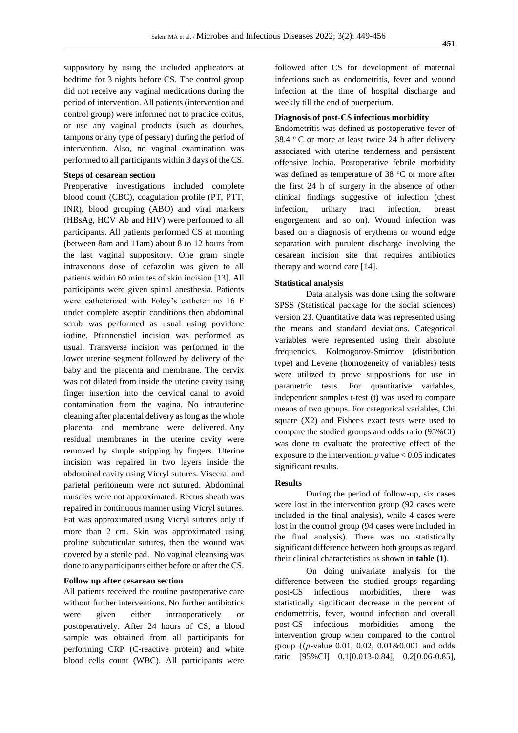suppository by using the included applicators at bedtime for 3 nights before CS. The control group did not receive any vaginal medications during the period of intervention. All patients (intervention and control group) were informed not to practice coitus, or use any vaginal products (such as douches, tampons or any type of pessary) during the period of intervention. Also, no vaginal examination was performed to all participants within 3 days of the CS.

# **Steps of cesarean section**

Preoperative investigations included complete blood count (CBC), coagulation profile (PT, PTT, INR), blood grouping (ABO) and viral markers (HBsAg, HCV Ab and HIV) were performed to all participants. All patients performed CS at morning (between 8am and 11am) about 8 to 12 hours from the last vaginal suppository. One gram single intravenous dose of cefazolin was given to all patients within 60 minutes of skin incision [13]. All participants were given spinal anesthesia. Patients were catheterized with Foley's catheter no 16 F under complete aseptic conditions then abdominal scrub was performed as usual using povidone iodine. Pfannenstiel incision was performed as usual. Transverse incision was performed in the lower uterine segment followed by delivery of the baby and the placenta and membrane. The cervix was not dilated from inside the uterine cavity using finger insertion into the cervical canal to avoid contamination from the vagina. No intrauterine cleaning after placental delivery as long as the whole placenta and membrane were delivered. Any residual membranes in the uterine cavity were removed by simple stripping by fingers. Uterine incision was repaired in two layers inside the abdominal cavity using Vicryl sutures. Visceral and parietal peritoneum were not sutured. Abdominal muscles were not approximated. Rectus sheath was repaired in continuous manner using Vicryl sutures. Fat was approximated using Vicryl sutures only if more than 2 cm. Skin was approximated using proline subcuticular sutures, then the wound was covered by a sterile pad. No vaginal cleansing was done to any participants either before or after the CS.

#### **Follow up after cesarean section**

All patients received the routine postoperative care without further interventions. No further antibiotics were given either intraoperatively or postoperatively. After 24 hours of CS, a blood sample was obtained from all participants for performing CRP (C-reactive protein) and white blood cells count (WBC). All participants were followed after CS for development of maternal infections such as endometritis, fever and wound infection at the time of hospital discharge and weekly till the end of puerperium.

#### **Diagnosis of post-CS infectious morbidity**

Endometritis was defined as postoperative fever of 38.4  $\degree$  C or more at least twice 24 h after delivery associated with uterine tenderness and persistent offensive lochia. Postoperative febrile morbidity was defined as temperature of 38  $\degree$ C or more after the first 24 h of surgery in the absence of other clinical findings suggestive of infection (chest infection, urinary tract infection, breast engorgement and so on). Wound infection was based on a diagnosis of erythema or wound edge separation with purulent discharge involving the cesarean incision site that requires antibiotics therapy and wound care [14].

#### **Statistical analysis**

Data analysis was done using the software SPSS (Statistical package for the social sciences) version 23. Quantitative data was represented using the means and standard deviations. Categorical variables were represented using their absolute frequencies. Kolmogorov-Smirnov (distribution type) and Levene (homogeneity of variables) tests were utilized to prove suppositions for use in parametric tests. For quantitative variables, independent samples t-test (t) was used to compare means of two groups. For categorical variables, Chi square  $(X2)$  and Fisher's exact tests were used to compare the studied groups and odds ratio (95%CI) was done to evaluate the protective effect of the exposure to the intervention.  $p$  value  $< 0.05$  indicates significant results.

#### **Results**

During the period of follow-up, six cases were lost in the intervention group (92 cases were included in the final analysis), while 4 cases were lost in the control group (94 cases were included in the final analysis). There was no statistically significant difference between both groups as regard their clinical characteristics as shown in **table (1)**.

On doing univariate analysis for the difference between the studied groups regarding post-CS infectious morbidities, there was statistically significant decrease in the percent of endometritis, fever, wound infection and overall post-CS infectious morbidities among the intervention group when compared to the control group {(*p*-value 0.01, 0.02, 0.01&0.001 and odds ratio [95%CI] 0.1[0.013-0.84], 0.2[0.06-0.85],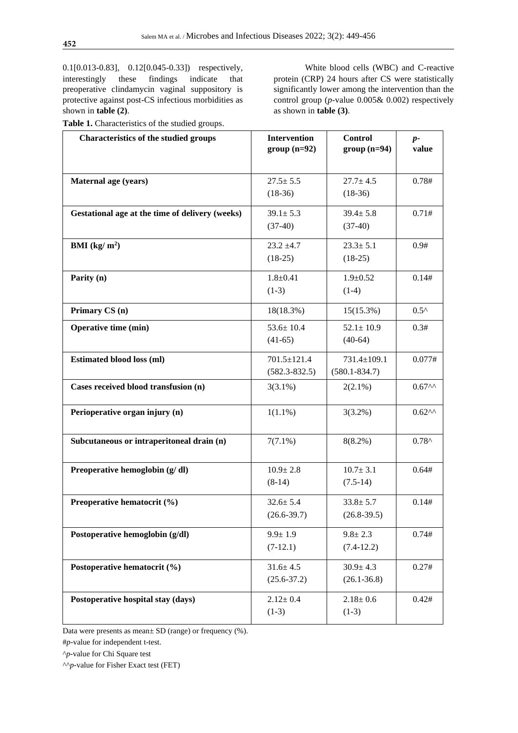0.1[0.013-0.83], 0.12[0.045-0.33]) respectively, interestingly these findings indicate that preoperative clindamycin vaginal suppository is protective against post-CS infectious morbidities as shown in **table (2)**.

**Table 1.** Characteristics of the studied groups.

White blood cells (WBC) and C-reactive protein (CRP) 24 hours after CS were statistically significantly lower among the intervention than the control group (*p-*value 0.005& 0.002) respectively as shown in **table (3)**.

| <b>Characteristics of the studied groups</b>    | <b>Intervention</b><br>$group(n=92)$ | <b>Control</b><br>$group(n=94)$ | $p-$<br>value      |
|-------------------------------------------------|--------------------------------------|---------------------------------|--------------------|
|                                                 |                                      |                                 |                    |
| Maternal age (years)                            | $27.5 \pm 5.5$                       | $27.7 \pm 4.5$                  | 0.78#              |
|                                                 | $(18-36)$                            | $(18-36)$                       |                    |
| Gestational age at the time of delivery (weeks) | $39.1 \pm 5.3$                       | $39.4 \pm 5.8$                  | 0.71#              |
|                                                 | $(37-40)$                            | $(37-40)$                       |                    |
| BMI $(kg/m^2)$                                  | $23.2 \pm 4.7$                       | $23.3 \pm 5.1$                  | 0.9#               |
|                                                 | $(18-25)$                            | $(18-25)$                       |                    |
| Parity (n)                                      | $1.8 + 0.41$                         | $1.9 \pm 0.52$                  | 0.14#              |
|                                                 | $(1-3)$                              | $(1-4)$                         |                    |
| Primary CS (n)                                  | 18(18.3%)                            | $15(15.3\%)$                    | $0.5^{\wedge}$     |
| <b>Operative time (min)</b>                     | $53.6 \pm 10.4$                      | $52.1 \pm 10.9$                 | 0.3#               |
|                                                 | $(41-65)$                            | $(40-64)$                       |                    |
| <b>Estimated blood loss (ml)</b>                | 701.5±121.4                          | 731.4±109.1                     | 0.077#             |
|                                                 | $(582.3 - 832.5)$                    | $(580.1 - 834.7)$               |                    |
| Cases received blood transfusion (n)            | $3(3.1\%)$                           | $2(2.1\%)$                      | 0.67 <sup>AA</sup> |
| Perioperative organ injury (n)                  | $1(1.1\%)$                           | $3(3.2\%)$                      | 0.62 <sup>AA</sup> |
| Subcutaneous or intraperitoneal drain (n)       | $7(7.1\%)$                           | $8(8.2\%)$                      | $0.78^{\wedge}$    |
|                                                 |                                      |                                 |                    |
| Preoperative hemoglobin (g/dl)                  | $10.9 \pm 2.8$                       | $10.7 \pm 3.1$                  | 0.64#              |
|                                                 | $(8-14)$                             | $(7.5-14)$                      |                    |
| Preoperative hematocrit (%)                     | $32.6 \pm 5.4$                       | $33.8 \pm 5.7$                  | 0.14#              |
|                                                 | $(26.6 - 39.7)$                      | $(26.8 - 39.5)$                 |                    |
| Postoperative hemoglobin (g/dl)                 | $9.9 \pm 1.9$                        | $9.8 \pm 2.3$                   | 0.74#              |
|                                                 | $(7-12.1)$                           | $(7.4-12.2)$                    |                    |
| Postoperative hematocrit (%)                    | $31.6 \pm 4.5$                       | $30.9 \pm 4.3$                  | 0.27#              |
|                                                 | $(25.6 - 37.2)$                      | $(26.1 - 36.8)$                 |                    |
| Postoperative hospital stay (days)              | $2.12 \pm 0.4$                       | $2.18 \pm 0.6$                  | 0.42#              |
|                                                 | $(1-3)$                              | $(1-3)$                         |                    |

Data were presents as mean± SD (range) or frequency (%).

#*p-*value for independent t-test.

^*p*-value for Chi Square test

^^*p*-value for Fisher Exact test (FET)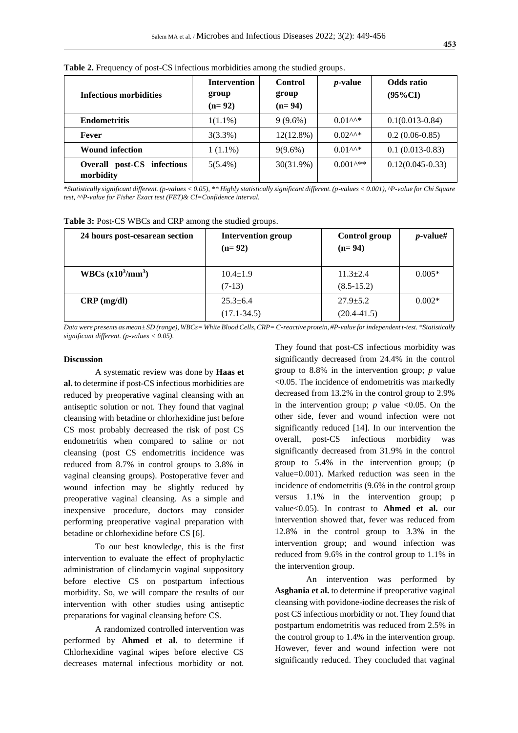| Infectious morbidities                        | <b>Intervention</b><br>group<br>$(n=92)$ | Control<br>group<br>$(n=94)$ | <i>p</i> -value                           | Odds ratio<br>$(95\%CI)$ |
|-----------------------------------------------|------------------------------------------|------------------------------|-------------------------------------------|--------------------------|
| <b>Endometritis</b>                           | $1(1.1\%)$                               | $9(9.6\%)$                   | $0.01^{AA*}$                              | $0.1(0.013 - 0.84)$      |
| Fever                                         | $3(3.3\%)$                               | $12(12.8\%)$                 | $0.02^{AA*}$                              | $0.2(0.06-0.85)$         |
| <b>Wound infection</b>                        | $1(1.1\%)$                               | $9(9.6\%)$                   | $0.01^{AA*}$                              | $0.1(0.013-0.83)$        |
| Overall<br>post-CS<br>infectious<br>morbidity | $5(5.4\%)$                               | 30(31.9%)                    | $0.001$ <sup><math>\star\ast</math></sup> | $0.12(0.045-0.33)$       |

**Table 2.** Frequency of post-CS infectious morbidities among the studied groups.

*\*Statistically significant different. (p-values < 0.05), \*\* Highly statistically significant different. (p-values < 0.001), ^P-value for Chi Square test, ^^P-value for Fisher Exact test (FET)& CI=Confidence interval.*

|  |  | Table 3: Post-CS WBCs and CRP among the studied groups. |  |  |  |
|--|--|---------------------------------------------------------|--|--|--|
|  |  |                                                         |  |  |  |

| 24 hours post-cesarean section | <b>Intervention group</b><br>$(n=92)$ | Control group<br>$(n=94)$ | $p$ -value# |
|--------------------------------|---------------------------------------|---------------------------|-------------|
| WBCs $(x10^3/mm^3)$            | $10.4 \pm 1.9$                        | $11.3 + 2.4$              | $0.005*$    |
|                                | $(7-13)$                              | $(8.5 - 15.2)$            |             |
| $CRP$ (mg/dl)                  | $25.3 + 6.4$                          | $27.9 + 5.2$              | $0.002*$    |
|                                | $(17.1 - 34.5)$                       | $(20.4 - 41.5)$           |             |

*Data were presents as mean± SD (range), WBCs= White Blood Cells, CRP= C-reactive protein, #P-value for independent t-test. \*Statistically significant different. (p-values < 0.05).*

#### **Discussion**

A systematic review was done by **Haas et al.** to determine if post-CS infectious morbidities are reduced by preoperative vaginal cleansing with an antiseptic solution or not. They found that vaginal cleansing with betadine or chlorhexidine just before CS most probably decreased the risk of post CS endometritis when compared to saline or not cleansing (post CS endometritis incidence was reduced from 8.7% in control groups to 3.8% in vaginal cleansing groups). Postoperative fever and wound infection may be slightly reduced by preoperative vaginal cleansing. As a simple and inexpensive procedure, doctors may consider performing preoperative vaginal preparation with betadine or chlorhexidine before CS [6].

To our best knowledge, this is the first intervention to evaluate the effect of prophylactic administration of clindamycin vaginal suppository before elective CS on postpartum infectious morbidity. So, we will compare the results of our intervention with other studies using antiseptic preparations for vaginal cleansing before CS.

A randomized controlled intervention was performed by **Ahmed et al.** to determine if Chlorhexidine vaginal wipes before elective CS decreases maternal infectious morbidity or not. They found that post-CS infectious morbidity was significantly decreased from 24.4% in the control group to 8.8% in the intervention group; *p* value <0.05. The incidence of endometritis was markedly decreased from 13.2% in the control group to 2.9% in the intervention group;  $p$  value <0.05. On the other side, fever and wound infection were not significantly reduced [14]. In our intervention the overall, post-CS infectious morbidity was significantly decreased from 31.9% in the control group to 5.4% in the intervention group; (p value=0.001). Marked reduction was seen in the incidence of endometritis (9.6% in the control group versus 1.1% in the intervention group; p value<0.05). In contrast to **Ahmed et al.** our intervention showed that, fever was reduced from 12.8% in the control group to 3.3% in the intervention group; and wound infection was reduced from 9.6% in the control group to 1.1% in the intervention group.

An intervention was performed by **Asghania et al.** to determine if preoperative vaginal cleansing with povidone-iodine decreases the risk of post CS infectious morbidity or not. They found that postpartum endometritis was reduced from 2.5% in the control group to 1.4% in the intervention group. However, fever and wound infection were not significantly reduced. They concluded that vaginal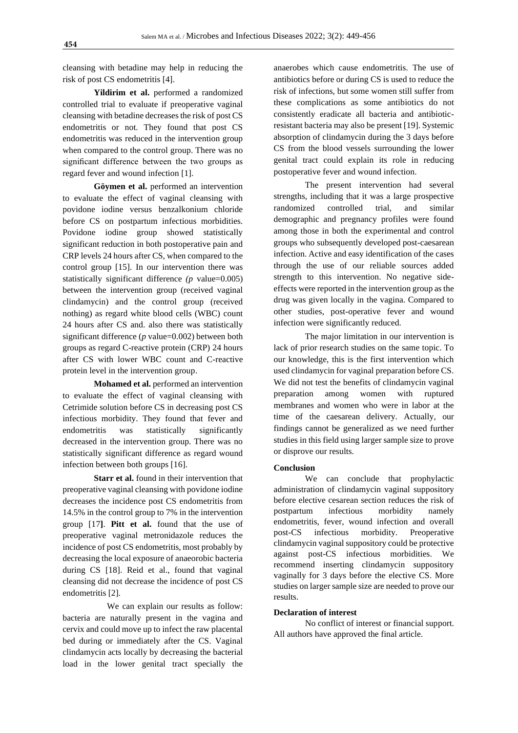cleansing with betadine may help in reducing the risk of post CS endometritis [4].

**Yildirim et al.** performed a randomized controlled trial to evaluate if preoperative vaginal cleansing with betadine decreases the risk of post CS endometritis or not. They found that post CS endometritis was reduced in the intervention group when compared to the control group. There was no significant difference between the two groups as regard fever and wound infection [1].

**Göymen et al.** performed an intervention to evaluate the effect of vaginal cleansing with povidone iodine versus benzalkonium chloride before CS on postpartum infectious morbidities. Povidone iodine group showed statistically significant reduction in both postoperative pain and CRP levels 24 hours after CS, when compared to the control group [15]. In our intervention there was statistically significant difference *(p* value=0.005) between the intervention group (received vaginal clindamycin) and the control group (received nothing) as regard white blood cells (WBC) count 24 hours after CS and. also there was statistically significant difference (*p* value=0.002) between both groups as regard C-reactive protein (CRP) 24 hours after CS with lower WBC count and C-reactive protein level in the intervention group.

**Mohamed et al.** performed an intervention to evaluate the effect of vaginal cleansing with Cetrimide solution before CS in decreasing post CS infectious morbidity. They found that fever and endometritis was statistically significantly decreased in the intervention group. There was no statistically significant difference as regard wound infection between both groups [16].

**Starr et al.** found in their intervention that preoperative vaginal cleansing with povidone iodine decreases the incidence post CS endometritis from 14.5% in the control group to 7% in the intervention group [17**]**. **Pitt et al.** found that the use of preoperative vaginal metronidazole reduces the incidence of post CS endometritis, most probably by decreasing the local exposure of anaeorobic bacteria during CS [18]. Reid et al., found that vaginal cleansing did not decrease the incidence of post CS endometritis [2].

We can explain our results as follow: bacteria are naturally present in the vagina and cervix and could move up to infect the raw placental bed during or immediately after the CS. Vaginal clindamycin acts locally by decreasing the bacterial load in the lower genital tract specially the

anaerobes which cause endometritis. The use of antibiotics before or during CS is used to reduce the risk of infections, but some women still suffer from these complications as some antibiotics do not consistently eradicate all bacteria and antibioticresistant bacteria may also be present [19]. Systemic absorption of clindamycin during the 3 days before CS from the blood vessels surrounding the lower genital tract could explain its role in reducing postoperative fever and wound infection.

The present intervention had several strengths, including that it was a large prospective randomized controlled trial, and similar demographic and pregnancy profiles were found among those in both the experimental and control groups who subsequently developed post-caesarean infection. Active and easy identification of the cases through the use of our reliable sources added strength to this intervention. No negative sideeffects were reported in the intervention group as the drug was given locally in the vagina. Compared to other studies, post-operative fever and wound infection were significantly reduced.

The major limitation in our intervention is lack of prior research studies on the same topic. To our knowledge, this is the first intervention which used clindamycin for vaginal preparation before CS. We did not test the benefits of clindamycin vaginal preparation among women with ruptured membranes and women who were in labor at the time of the caesarean delivery. Actually, our findings cannot be generalized as we need further studies in this field using larger sample size to prove or disprove our results.

# **Conclusion**

We can conclude that prophylactic administration of clindamycin vaginal suppository before elective cesarean section reduces the risk of postpartum infectious morbidity namely endometritis, fever, wound infection and overall post-CS infectious morbidity. Preoperative clindamycin vaginal suppository could be protective against post-CS infectious morbidities. We recommend inserting clindamycin suppository vaginally for 3 days before the elective CS. More studies on larger sample size are needed to prove our results.

#### **Declaration of interest**

No conflict of interest or financial support. All authors have approved the final article.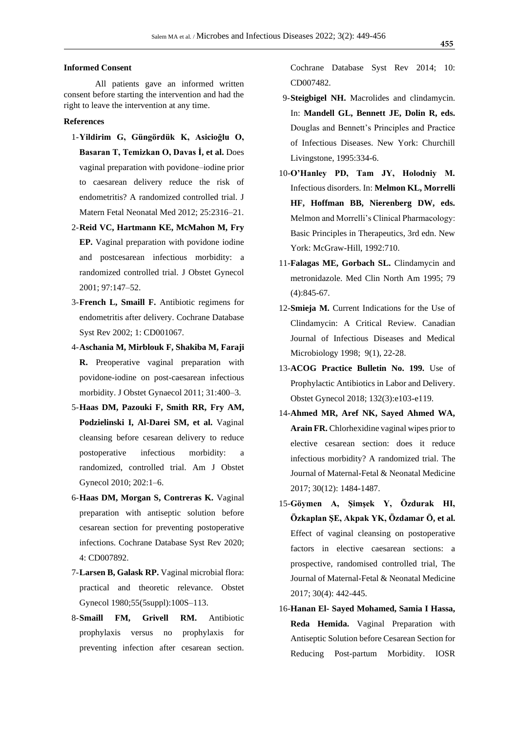### **Informed Consent**

All patients gave an informed written consent before starting the intervention and had the right to leave the intervention at any time.

#### **References**

- 1-**Yildirim G, Güngördük K, Asicioğlu O, Basaran T, Temizkan O, Davas İ, et al.** Does vaginal preparation with povidone–iodine prior to caesarean delivery reduce the risk of endometritis? A randomized controlled trial. J Matern Fetal Neonatal Med 2012; 25:2316–21.
- 2-**Reid VC, Hartmann KE, McMahon M, Fry EP.** Vaginal preparation with povidone iodine and postcesarean infectious morbidity: a randomized controlled trial. J Obstet Gynecol 2001; 97:147–52.
- 3-**French L, Smaill F.** Antibiotic regimens for endometritis after delivery. Cochrane Database Syst Rev 2002; 1: CD001067.
- 4-**Aschania M, Mirblouk F, Shakiba M, Faraji R.** Preoperative vaginal preparation with povidone-iodine on post-caesarean infectious morbidity. J Obstet Gynaecol 2011; 31:400–3.
- 5-**Haas DM, Pazouki F, Smith RR, Fry AM, Podzielinski I, Al-Darei SM, et al.** Vaginal cleansing before cesarean delivery to reduce postoperative infectious morbidity: a randomized, controlled trial. Am J Obstet Gynecol 2010; 202:1–6.
- 6-**Haas DM, Morgan S, Contreras K.** Vaginal preparation with antiseptic solution before cesarean section for preventing postoperative infections. Cochrane Database Syst Rev 2020; 4: CD007892.
- 7-**Larsen B, Galask RP.** Vaginal microbial flora: practical and theoretic relevance. Obstet Gynecol 1980;55(5suppl):100S–113.
- 8-**Smaill FM, Grivell RM.** Antibiotic prophylaxis versus no prophylaxis for preventing infection after cesarean section.

Cochrane Database Syst Rev 2014; 10: CD007482.

- 9-**Steigbigel NH.** Macrolides and clindamycin. In: **Mandell GL, Bennett JE, Dolin R, eds.** Douglas and Bennett's Principles and Practice of Infectious Diseases. New York: Churchill Livingstone, 1995:334-6.
- 10-**O'Hanley PD, Tam JY, Holodniy M.** Infectious disorders. In: **Melmon KL, Morrelli HF, Hoffman BB, Nierenberg DW, eds.** Melmon and Morrelli's Clinical Pharmacology: Basic Principles in Therapeutics, 3rd edn. New York: McGraw-Hill, 1992:710.
- 11-**Falagas ME, Gorbach SL.** Clindamycin and metronidazole. Med Clin North Am 1995; 79 (4):845-67.
- 12-**Smieja M.** Current Indications for the Use of Clindamycin: A Critical Review. [Canadian](https://www.hindawi.com/journals/cjidmm/)  [Journal of Infectious Diseases and Medical](https://www.hindawi.com/journals/cjidmm/)  [Microbiology](https://www.hindawi.com/journals/cjidmm/) [1998;](https://www.hindawi.com/journals/cjidmm/contents/year/1998/) 9(1), 22-28.
- 13-**ACOG Practice Bulletin No. 199.** Use of Prophylactic Antibiotics in Labor and Delivery. Obstet Gynecol 2018; 132(3):e103-e119.
- 14-**Ahmed MR, Aref NK, Sayed Ahmed WA, Arain FR.** Chlorhexidine vaginal wipes prior to elective cesarean section: does it reduce infectious morbidity? A randomized trial. The Journal of Maternal-Fetal & Neonatal Medicine 2017; 30(12): 1484-1487.
- 15-**Göymen A, Şimşek Y, Özdurak HI, Özkaplan ŞE, Akpak YK, Özdamar Ö, et al.** Effect of vaginal cleansing on postoperative factors in elective caesarean sections: a prospective, randomised controlled trial, The Journal of Maternal-Fetal & Neonatal Medicine 2017; 30(4): 442-445.
- 16-**Hanan El- Sayed Mohamed, Samia I Hassa, Reda Hemida.** Vaginal Preparation with Antiseptic Solution before Cesarean Section for Reducing Post-partum Morbidity. IOSR